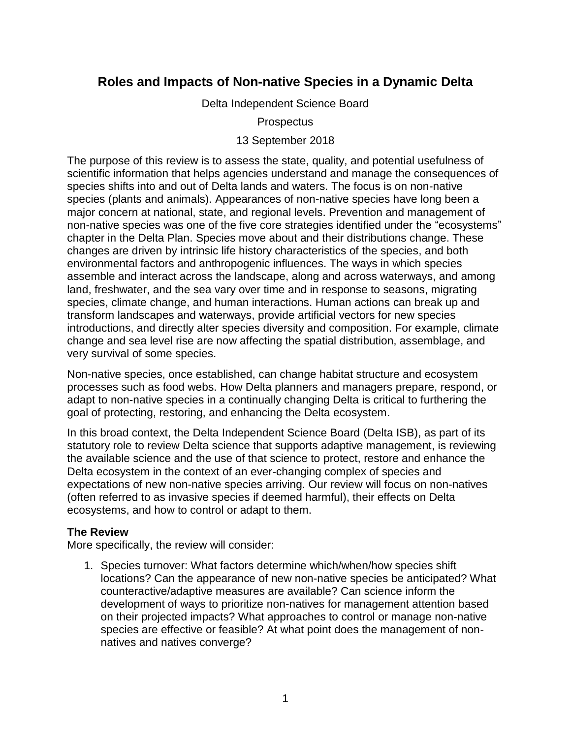# **Roles and Impacts of Non-native Species in a Dynamic Delta**

Delta Independent Science Board

**Prospectus** 

### 13 September 2018

The purpose of this review is to assess the state, quality, and potential usefulness of scientific information that helps agencies understand and manage the consequences of species shifts into and out of Delta lands and waters. The focus is on non-native species (plants and animals). Appearances of non-native species have long been a major concern at national, state, and regional levels. Prevention and management of non-native species was one of the five core strategies identified under the "ecosystems" chapter in the Delta Plan. Species move about and their distributions change. These changes are driven by intrinsic life history characteristics of the species, and both environmental factors and anthropogenic influences. The ways in which species assemble and interact across the landscape, along and across waterways, and among land, freshwater, and the sea vary over time and in response to seasons, migrating species, climate change, and human interactions. Human actions can break up and transform landscapes and waterways, provide artificial vectors for new species introductions, and directly alter species diversity and composition. For example, climate change and sea level rise are now affecting the spatial distribution, assemblage, and very survival of some species.

Non-native species, once established, can change habitat structure and ecosystem processes such as food webs. How Delta planners and managers prepare, respond, or adapt to non-native species in a continually changing Delta is critical to furthering the goal of protecting, restoring, and enhancing the Delta ecosystem.

In this broad context, the Delta Independent Science Board (Delta ISB), as part of its statutory role to review Delta science that supports adaptive management, is reviewing the available science and the use of that science to protect, restore and enhance the Delta ecosystem in the context of an ever-changing complex of species and expectations of new non-native species arriving. Our review will focus on non-natives (often referred to as invasive species if deemed harmful), their effects on Delta ecosystems, and how to control or adapt to them.

## **The Review**

More specifically, the review will consider:

1. Species turnover: What factors determine which/when/how species shift locations? Can the appearance of new non-native species be anticipated? What counteractive/adaptive measures are available? Can science inform the development of ways to prioritize non-natives for management attention based on their projected impacts? What approaches to control or manage non-native species are effective or feasible? At what point does the management of nonnatives and natives converge?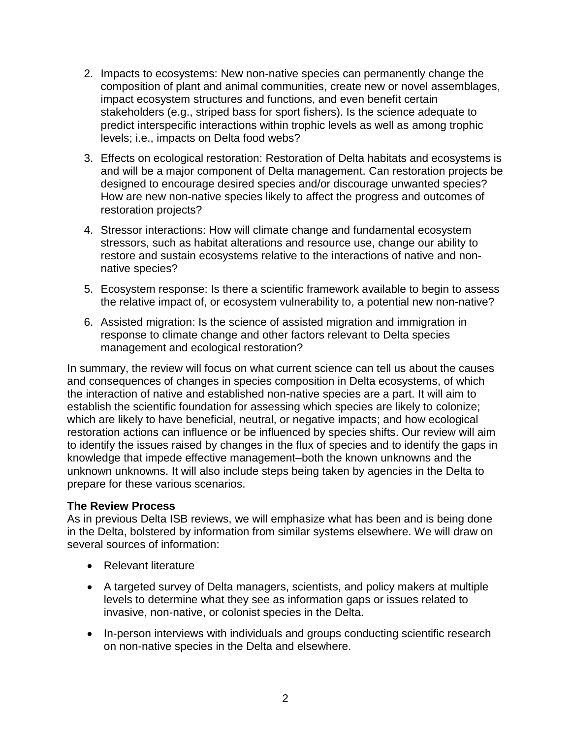- 2. Impacts to ecosystems: New non-native species can permanently change the composition of plant and animal communities, create new or novel assemblages, impact ecosystem structures and functions, and even benefit certain stakeholders (e.g., striped bass for sport fishers). Is the science adequate to predict interspecific interactions within trophic levels as well as among trophic levels; i.e., impacts on Delta food webs?
- 3. Effects on ecological restoration: Restoration of Delta habitats and ecosystems is and will be a major component of Delta management. Can restoration projects be designed to encourage desired species and/or discourage unwanted species? How are new non-native species likely to affect the progress and outcomes of restoration projects?
- 4. Stressor interactions: How will climate change and fundamental ecosystem stressors, such as habitat alterations and resource use, change our ability to restore and sustain ecosystems relative to the interactions of native and nonnative species?
- 5. Ecosystem response: Is there a scientific framework available to begin to assess the relative impact of, or ecosystem vulnerability to, a potential new non-native?
- 6. Assisted migration: Is the science of assisted migration and immigration in response to climate change and other factors relevant to Delta species management and ecological restoration?

In summary, the review will focus on what current science can tell us about the causes and consequences of changes in species composition in Delta ecosystems, of which the interaction of native and established non-native species are a part. It will aim to establish the scientific foundation for assessing which species are likely to colonize; which are likely to have beneficial, neutral, or negative impacts; and how ecological restoration actions can influence or be influenced by species shifts. Our review will aim to identify the issues raised by changes in the flux of species and to identify the gaps in knowledge that impede effective management–both the known unknowns and the unknown unknowns. It will also include steps being taken by agencies in the Delta to prepare for these various scenarios.

## **The Review Process**

As in previous Delta ISB reviews, we will emphasize what has been and is being done in the Delta, bolstered by information from similar systems elsewhere. We will draw on several sources of information:

- Relevant literature
- A targeted survey of Delta managers, scientists, and policy makers at multiple levels to determine what they see as information gaps or issues related to invasive, non-native, or colonist species in the Delta.
- In-person interviews with individuals and groups conducting scientific research on non-native species in the Delta and elsewhere.